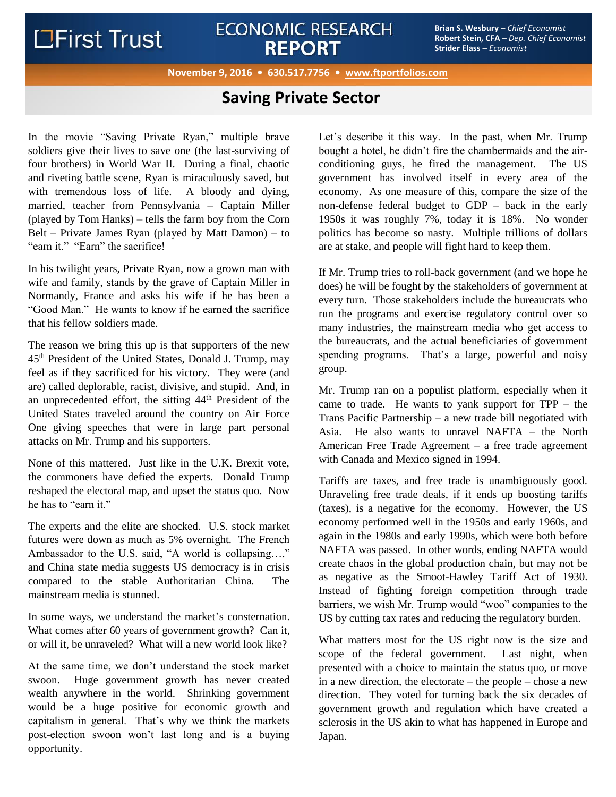# **LEirst Trust**

## **ECONOMIC RESEARCH REPORT**

**Brian S. Wesbury** – *Chief Economist* **Robert Stein, CFA** – *Dep. Chief Economist* **Strider Elass** – *Economist*

#### **November 9, 2016 • 630.517.7756 • [www.ftportfolios.com](http://www.ftportfolioslp.com/)**

### **Saving Private Sector**

In the movie "Saving Private Ryan," multiple brave soldiers give their lives to save one (the last-surviving of four brothers) in World War II. During a final, chaotic and riveting battle scene, Ryan is miraculously saved, but with tremendous loss of life. A bloody and dying, married, teacher from Pennsylvania – Captain Miller (played by Tom Hanks) – tells the farm boy from the Corn Belt – Private James Ryan (played by Matt Damon) – to "earn it." "Earn" the sacrifice!

In his twilight years, Private Ryan, now a grown man with wife and family, stands by the grave of Captain Miller in Normandy, France and asks his wife if he has been a "Good Man." He wants to know if he earned the sacrifice that his fellow soldiers made.

The reason we bring this up is that supporters of the new 45th President of the United States, Donald J. Trump, may feel as if they sacrificed for his victory. They were (and are) called deplorable, racist, divisive, and stupid. And, in an unprecedented effort, the sitting 44th President of the United States traveled around the country on Air Force One giving speeches that were in large part personal attacks on Mr. Trump and his supporters.

None of this mattered. Just like in the U.K. Brexit vote, the commoners have defied the experts. Donald Trump reshaped the electoral map, and upset the status quo. Now he has to "earn it."

The experts and the elite are shocked. U.S. stock market futures were down as much as 5% overnight. The French Ambassador to the U.S. said, "A world is collapsing…," and China state media suggests US democracy is in crisis compared to the stable Authoritarian China. The mainstream media is stunned.

In some ways, we understand the market's consternation. What comes after 60 years of government growth? Can it, or will it, be unraveled? What will a new world look like?

At the same time, we don't understand the stock market swoon. Huge government growth has never created wealth anywhere in the world. Shrinking government would be a huge positive for economic growth and capitalism in general. That's why we think the markets post-election swoon won't last long and is a buying opportunity.

Let's describe it this way. In the past, when Mr. Trump bought a hotel, he didn't fire the chambermaids and the airconditioning guys, he fired the management. The US government has involved itself in every area of the economy. As one measure of this, compare the size of the non-defense federal budget to GDP – back in the early 1950s it was roughly 7%, today it is 18%. No wonder politics has become so nasty. Multiple trillions of dollars are at stake, and people will fight hard to keep them.

If Mr. Trump tries to roll-back government (and we hope he does) he will be fought by the stakeholders of government at every turn. Those stakeholders include the bureaucrats who run the programs and exercise regulatory control over so many industries, the mainstream media who get access to the bureaucrats, and the actual beneficiaries of government spending programs. That's a large, powerful and noisy group.

Mr. Trump ran on a populist platform, especially when it came to trade. He wants to yank support for TPP – the Trans Pacific Partnership – a new trade bill negotiated with Asia. He also wants to unravel NAFTA – the North American Free Trade Agreement – a free trade agreement with Canada and Mexico signed in 1994.

Tariffs are taxes, and free trade is unambiguously good. Unraveling free trade deals, if it ends up boosting tariffs (taxes), is a negative for the economy. However, the US economy performed well in the 1950s and early 1960s, and again in the 1980s and early 1990s, which were both before NAFTA was passed. In other words, ending NAFTA would create chaos in the global production chain, but may not be as negative as the Smoot-Hawley Tariff Act of 1930. Instead of fighting foreign competition through trade barriers, we wish Mr. Trump would "woo" companies to the US by cutting tax rates and reducing the regulatory burden.

What matters most for the US right now is the size and scope of the federal government. Last night, when presented with a choice to maintain the status quo, or move in a new direction, the electorate – the people – chose a new direction. They voted for turning back the six decades of government growth and regulation which have created a sclerosis in the US akin to what has happened in Europe and Japan.